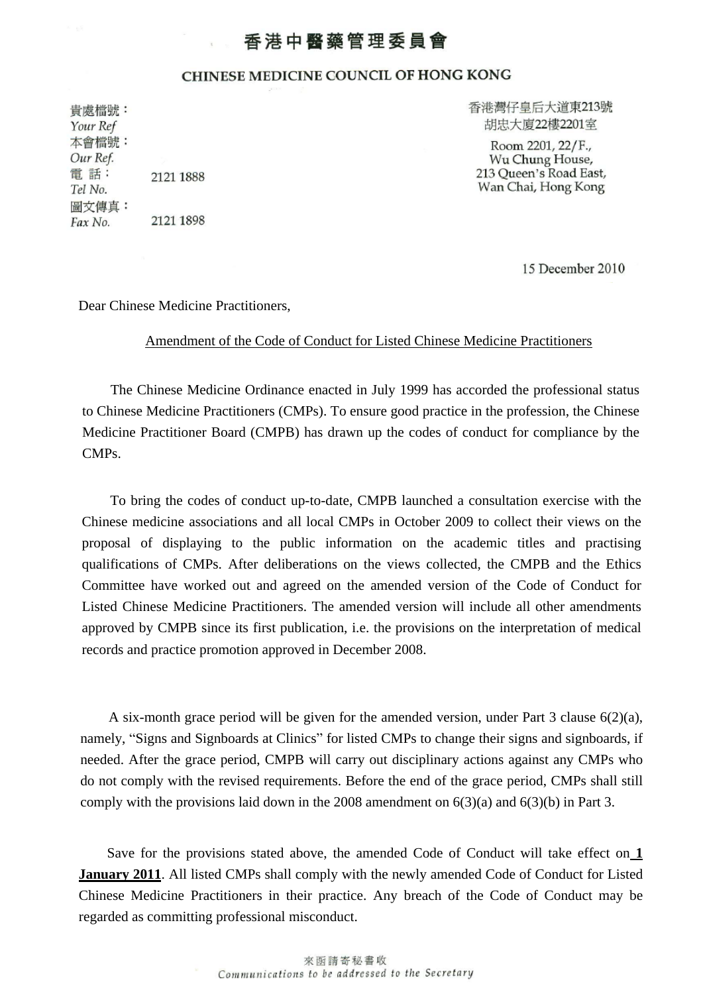## 香港中醫藥管理委員會

## CHINESE MEDICINE COUNCIL OF HONG KONG

貴處檔號: Your Ref 本會檔號: Our Ref. 電話: 2121 1888 Tel No. 圖文傳真: 2121 1898 Fax No.

香港灣仔皇后大道東213號 胡忠大廈22樓2201室

Room 2201, 22/F., Wu Chung House, 213 Queen's Road East, Wan Chai, Hong Kong

15 December 2010

Dear Chinese Medicine Practitioners,

## Amendment of the Code of Conduct for Listed Chinese Medicine Practitioners

The Chinese Medicine Ordinance enacted in July 1999 has accorded the professional status to Chinese Medicine Practitioners (CMPs). To ensure good practice in the profession, the Chinese Medicine Practitioner Board (CMPB) has drawn up the codes of conduct for compliance by the CMPs.

To bring the codes of conduct up-to-date, CMPB launched a consultation exercise with the Chinese medicine associations and all local CMPs in October 2009 to collect their views on the proposal of displaying to the public information on the academic titles and practising qualifications of CMPs. After deliberations on the views collected, the CMPB and the Ethics Committee have worked out and agreed on the amended version of the Code of Conduct for Listed Chinese Medicine Practitioners. The amended version will include all other amendments approved by CMPB since its first publication, i.e. the provisions on the interpretation of medical records and practice promotion approved in December 2008.

A six-month grace period will be given for the amended version, under Part 3 clause 6(2)(a), namely, "Signs and Signboards at Clinics" for listed CMPs to change their signs and signboards, if needed. After the grace period, CMPB will carry out disciplinary actions against any CMPs who do not comply with the revised requirements. Before the end of the grace period, CMPs shall still comply with the provisions laid down in the 2008 amendment on  $6(3)(a)$  and  $6(3)(b)$  in Part 3.

Save for the provisions stated above, the amended Code of Conduct will take effect on **1 January 2011**. All listed CMPs shall comply with the newly amended Code of Conduct for Listed Chinese Medicine Practitioners in their practice. Any breach of the Code of Conduct may be regarded as committing professional misconduct.